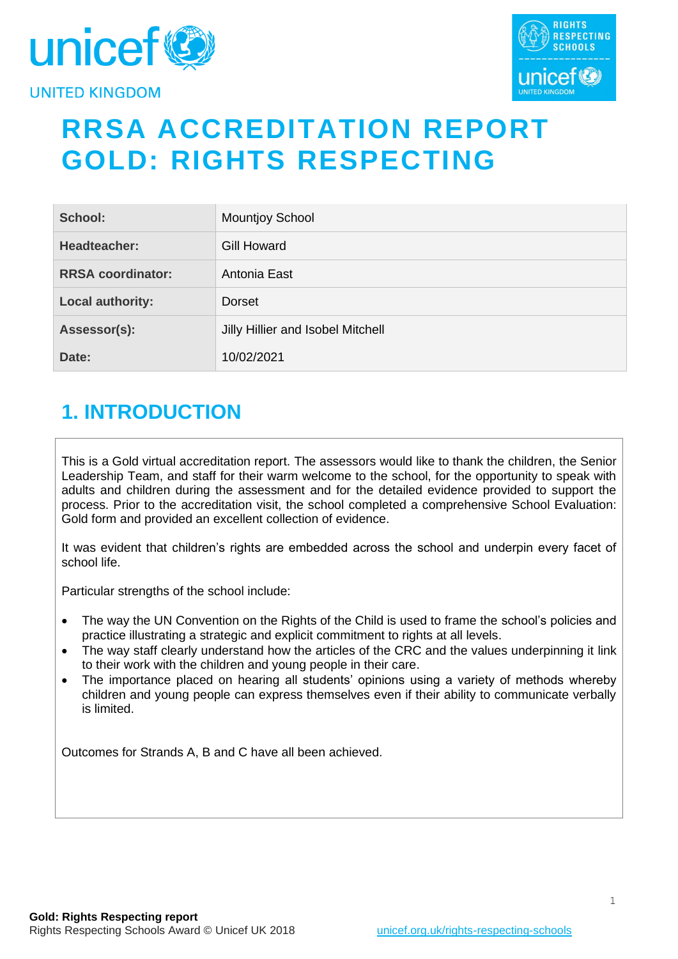



# **RRSA ACCREDITATION REPORT GOLD: RIGHTS RESPECTING**

| School:                  | <b>Mountjoy School</b>            |
|--------------------------|-----------------------------------|
| Headteacher:             | <b>Gill Howard</b>                |
| <b>RRSA coordinator:</b> | Antonia East                      |
| Local authority:         | Dorset                            |
| Assessor(s):             | Jilly Hillier and Isobel Mitchell |
| Date:                    | 10/02/2021                        |

# **1. INTRODUCTION**

This is a Gold virtual accreditation report. The assessors would like to thank the children, the Senior Leadership Team, and staff for their warm welcome to the school, for the opportunity to speak with adults and children during the assessment and for the detailed evidence provided to support the process. Prior to the accreditation visit, the school completed a comprehensive School Evaluation: Gold form and provided an excellent collection of evidence.

It was evident that children's rights are embedded across the school and underpin every facet of school life.

Particular strengths of the school include:

- The way the UN Convention on the Rights of the Child is used to frame the school's policies and practice illustrating a strategic and explicit commitment to rights at all levels.
- The way staff clearly understand how the articles of the CRC and the values underpinning it link to their work with the children and young people in their care.
- The importance placed on hearing all students' opinions using a variety of methods whereby children and young people can express themselves even if their ability to communicate verbally is limited.

Outcomes for Strands A, B and C have all been achieved.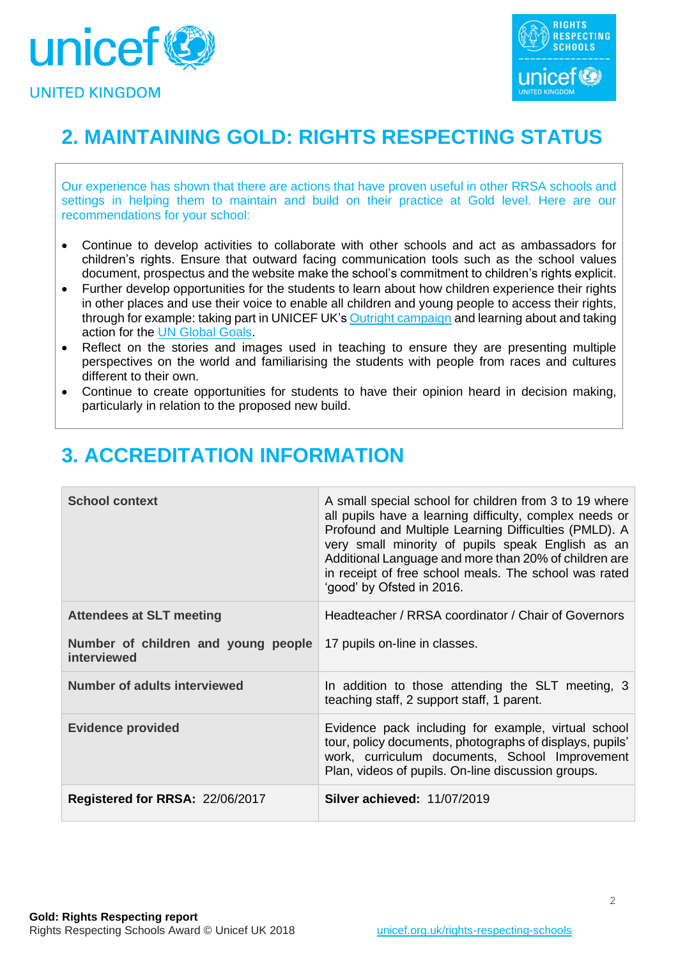



# **2. MAINTAINING GOLD: RIGHTS RESPECTING STATUS**

Our experience has shown that there are actions that have proven useful in other RRSA schools and settings in helping them to maintain and build on their practice at Gold level. Here are our recommendations for your school:

- Continue to develop activities to collaborate with other schools and act as ambassadors for children's rights. Ensure that outward facing communication tools such as the school values document, prospectus and the website make the school's commitment to children's rights explicit.
- Further develop opportunities for the students to learn about how children experience their rights in other places and use their voice to enable all children and young people to access their rights, through for example: taking part in UNICEF UK's [Outright campaign](https://www.unicef.org.uk/rights-respecting-schools/resources/teaching-resources/outright/) and learning about and taking action for the [UN Global Goals.](https://www.globalgoals.org/)
- Reflect on the stories and images used in teaching to ensure they are presenting multiple perspectives on the world and familiarising the students with people from races and cultures different to their own.
- Continue to create opportunities for students to have their opinion heard in decision making, particularly in relation to the proposed new build.

| <b>School context</b>                              | A small special school for children from 3 to 19 where<br>all pupils have a learning difficulty, complex needs or<br>Profound and Multiple Learning Difficulties (PMLD). A<br>very small minority of pupils speak English as an<br>Additional Language and more than 20% of children are<br>in receipt of free school meals. The school was rated<br>'good' by Ofsted in 2016. |
|----------------------------------------------------|--------------------------------------------------------------------------------------------------------------------------------------------------------------------------------------------------------------------------------------------------------------------------------------------------------------------------------------------------------------------------------|
| <b>Attendees at SLT meeting</b>                    | Headteacher / RRSA coordinator / Chair of Governors                                                                                                                                                                                                                                                                                                                            |
| Number of children and young people<br>interviewed | 17 pupils on-line in classes.                                                                                                                                                                                                                                                                                                                                                  |
| Number of adults interviewed                       | In addition to those attending the SLT meeting, 3<br>teaching staff, 2 support staff, 1 parent.                                                                                                                                                                                                                                                                                |
| <b>Evidence provided</b>                           | Evidence pack including for example, virtual school<br>tour, policy documents, photographs of displays, pupils'<br>work, curriculum documents, School Improvement<br>Plan, videos of pupils. On-line discussion groups.                                                                                                                                                        |
| Registered for RRSA: 22/06/2017                    | <b>Silver achieved: 11/07/2019</b>                                                                                                                                                                                                                                                                                                                                             |

# **3. ACCREDITATION INFORMATION**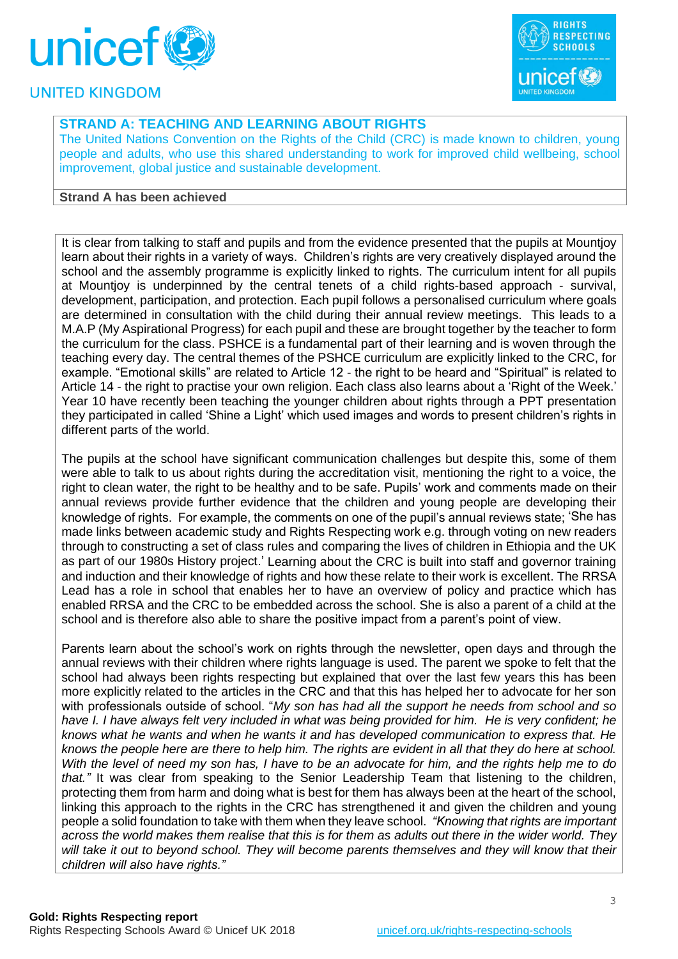



# **STRAND A: TEACHING AND LEARNING ABOUT RIGHTS**

The United Nations Convention on the Rights of the Child (CRC) is made known to children, young people and adults, who use this shared understanding to work for improved child wellbeing, school improvement, global justice and sustainable development.

#### **Strand A has been achieved**

It is clear from talking to staff and pupils and from the evidence presented that the pupils at Mountjoy learn about their rights in a variety of ways. Children's rights are very creatively displayed around the school and the assembly programme is explicitly linked to rights. The curriculum intent for all pupils at Mountjoy is underpinned by the central tenets of a child rights-based approach - survival, development, participation, and protection. Each pupil follows a personalised curriculum where goals are determined in consultation with the child during their annual review meetings. This leads to a M.A.P (My Aspirational Progress) for each pupil and these are brought together by the teacher to form the curriculum for the class. PSHCE is a fundamental part of their learning and is woven through the teaching every day. The central themes of the PSHCE curriculum are explicitly linked to the CRC, for example. "Emotional skills" are related to Article 12 - the right to be heard and "Spiritual" is related to Article 14 - the right to practise your own religion. Each class also learns about a 'Right of the Week.' Year 10 have recently been teaching the younger children about rights through a PPT presentation they participated in called 'Shine a Light' which used images and words to present children's rights in different parts of the world.

The pupils at the school have significant communication challenges but despite this, some of them were able to talk to us about rights during the accreditation visit, mentioning the right to a voice, the right to clean water, the right to be healthy and to be safe. Pupils' work and comments made on their annual reviews provide further evidence that the children and young people are developing their knowledge of rights. For example, the comments on one of the pupil's annual reviews state; 'She has made links between academic study and Rights Respecting work e.g. through voting on new readers through to constructing a set of class rules and comparing the lives of children in Ethiopia and the UK as part of our 1980s History project.' Learning about the CRC is built into staff and governor training and induction and their knowledge of rights and how these relate to their work is excellent. The RRSA Lead has a role in school that enables her to have an overview of policy and practice which has enabled RRSA and the CRC to be embedded across the school. She is also a parent of a child at the school and is therefore also able to share the positive impact from a parent's point of view.

Parents learn about the school's work on rights through the newsletter, open days and through the annual reviews with their children where rights language is used. The parent we spoke to felt that the school had always been rights respecting but explained that over the last few years this has been more explicitly related to the articles in the CRC and that this has helped her to advocate for her son with professionals outside of school. "*My son has had all the support he needs from school and so have I. I have always felt very included in what was being provided for him. He is very confident; he knows what he wants and when he wants it and has developed communication to express that. He knows the people here are there to help him. The rights are evident in all that they do here at school. With the level of need my son has, I have to be an advocate for him, and the rights help me to do that."* It was clear from speaking to the Senior Leadership Team that listening to the children, protecting them from harm and doing what is best for them has always been at the heart of the school, linking this approach to the rights in the CRC has strengthened it and given the children and young people a solid foundation to take with them when they leave school. *"Knowing that rights are important across the world makes them realise that this is for them as adults out there in the wider world. They will take it out to beyond school. They will become parents themselves and they will know that their children will also have rights."*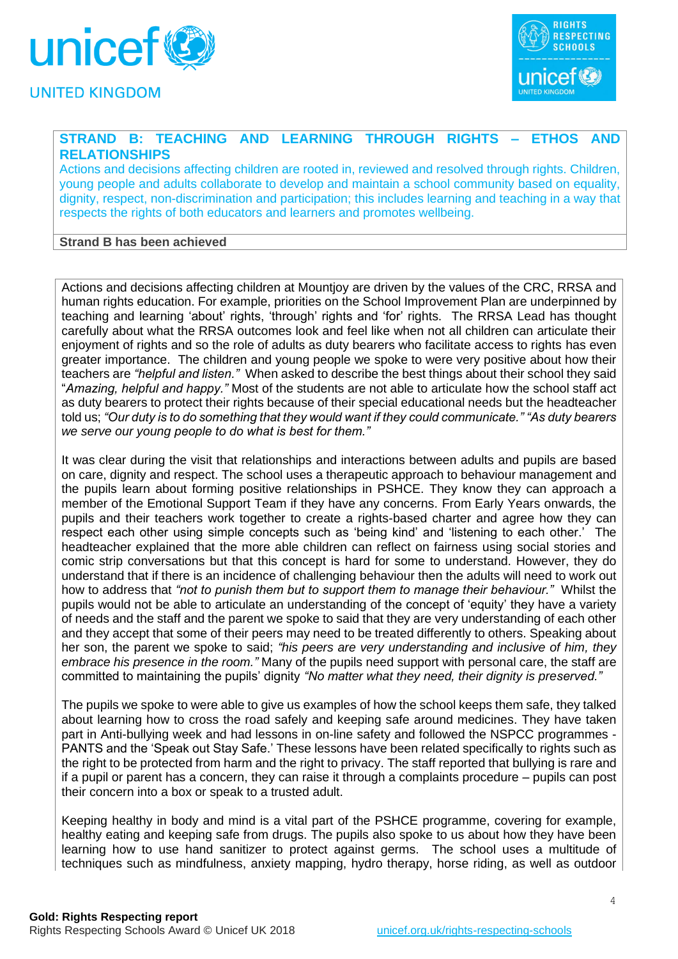



# **STRAND B: TEACHING AND LEARNING THROUGH RIGHTS – ETHOS AND RELATIONSHIPS**

Actions and decisions affecting children are rooted in, reviewed and resolved through rights. Children, young people and adults collaborate to develop and maintain a school community based on equality, dignity, respect, non-discrimination and participation; this includes learning and teaching in a way that respects the rights of both educators and learners and promotes wellbeing.

### **Strand B has been achieved**

Actions and decisions affecting children at Mountjoy are driven by the values of the CRC, RRSA and human rights education. For example, priorities on the School Improvement Plan are underpinned by teaching and learning 'about' rights, 'through' rights and 'for' rights. The RRSA Lead has thought carefully about what the RRSA outcomes look and feel like when not all children can articulate their enjoyment of rights and so the role of adults as duty bearers who facilitate access to rights has even greater importance. The children and young people we spoke to were very positive about how their teachers are *"helpful and listen."* When asked to describe the best things about their school they said "*Amazing, helpful and happy."* Most of the students are not able to articulate how the school staff act as duty bearers to protect their rights because of their special educational needs but the headteacher told us; *"Our duty is to do something that they would want if they could communicate." "As duty bearers we serve our young people to do what is best for them."*

It was clear during the visit that relationships and interactions between adults and pupils are based on care, dignity and respect. The school uses a therapeutic approach to behaviour management and the pupils learn about forming positive relationships in PSHCE. They know they can approach a member of the Emotional Support Team if they have any concerns. From Early Years onwards, the pupils and their teachers work together to create a rights-based charter and agree how they can respect each other using simple concepts such as 'being kind' and 'listening to each other.' The headteacher explained that the more able children can reflect on fairness using social stories and comic strip conversations but that this concept is hard for some to understand. However, they do understand that if there is an incidence of challenging behaviour then the adults will need to work out how to address that *"not to punish them but to support them to manage their behaviour."* Whilst the pupils would not be able to articulate an understanding of the concept of 'equity' they have a variety of needs and the staff and the parent we spoke to said that they are very understanding of each other and they accept that some of their peers may need to be treated differently to others. Speaking about her son, the parent we spoke to said; *"his peers are very understanding and inclusive of him, they embrace his presence in the room."* Many of the pupils need support with personal care, the staff are committed to maintaining the pupils' dignity *"No matter what they need, their dignity is preserved."*

The pupils we spoke to were able to give us examples of how the school keeps them safe, they talked about learning how to cross the road safely and keeping safe around medicines. They have taken part in Anti-bullying week and had lessons in on-line safety and followed the NSPCC programmes - PANTS and the 'Speak out Stay Safe.' These lessons have been related specifically to rights such as the right to be protected from harm and the right to privacy. The staff reported that bullying is rare and if a pupil or parent has a concern, they can raise it through a complaints procedure – pupils can post their concern into a box or speak to a trusted adult.

Keeping healthy in body and mind is a vital part of the PSHCE programme, covering for example, healthy eating and keeping safe from drugs. The pupils also spoke to us about how they have been learning how to use hand sanitizer to protect against germs. The school uses a multitude of techniques such as mindfulness, anxiety mapping, hydro therapy, horse riding, as well as outdoor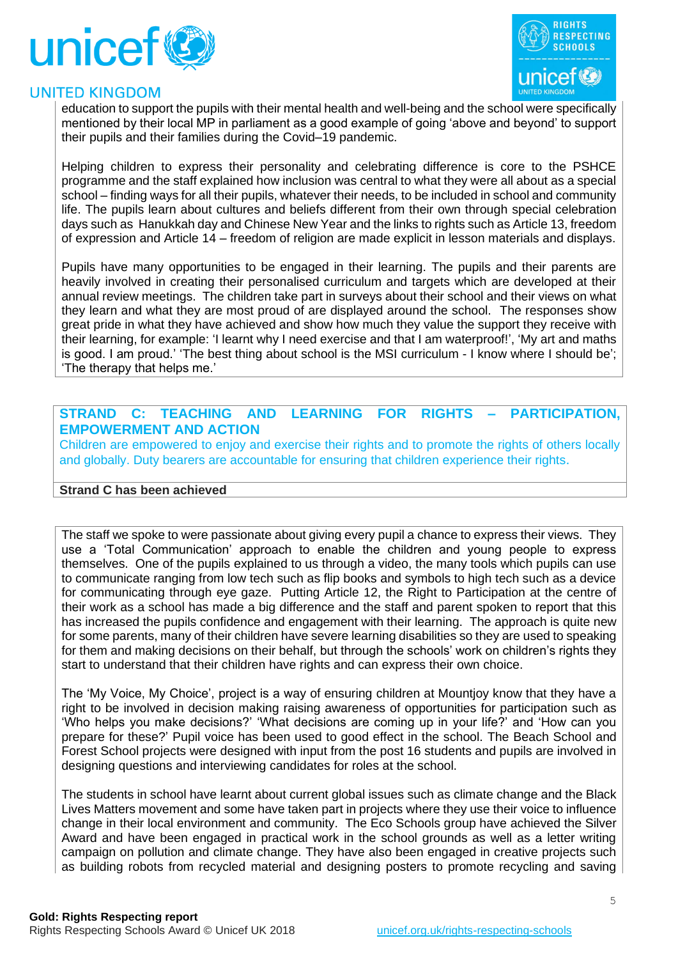



education to support the pupils with their mental health and well-being and the school were specifically mentioned by their local MP in parliament as a good example of going 'above and beyond' to support their pupils and their families during the Covid–19 pandemic.

Helping children to express their personality and celebrating difference is core to the PSHCE programme and the staff explained how inclusion was central to what they were all about as a special school – finding ways for all their pupils, whatever their needs, to be included in school and community life. The pupils learn about cultures and beliefs different from their own through special celebration days such as Hanukkah day and Chinese New Year and the links to rights such as Article 13, freedom of expression and Article 14 – freedom of religion are made explicit in lesson materials and displays.

Pupils have many opportunities to be engaged in their learning. The pupils and their parents are heavily involved in creating their personalised curriculum and targets which are developed at their annual review meetings. The children take part in surveys about their school and their views on what they learn and what they are most proud of are displayed around the school. The responses show great pride in what they have achieved and show how much they value the support they receive with their learning, for example: 'I learnt why I need exercise and that I am waterproof!', 'My art and maths is good. I am proud.' 'The best thing about school is the MSI curriculum - I know where I should be'; 'The therapy that helps me.'

## **STRAND C: TEACHING AND LEARNING FOR RIGHTS – PARTICIPATION, EMPOWERMENT AND ACTION**

Children are empowered to enjoy and exercise their rights and to promote the rights of others locally and globally. Duty bearers are accountable for ensuring that children experience their rights.

#### **Strand C has been achieved**

The staff we spoke to were passionate about giving every pupil a chance to express their views. They use a 'Total Communication' approach to enable the children and young people to express themselves. One of the pupils explained to us through a video, the many tools which pupils can use to communicate ranging from low tech such as flip books and symbols to high tech such as a device for communicating through eye gaze. Putting Article 12, the Right to Participation at the centre of their work as a school has made a big difference and the staff and parent spoken to report that this has increased the pupils confidence and engagement with their learning. The approach is quite new for some parents, many of their children have severe learning disabilities so they are used to speaking for them and making decisions on their behalf, but through the schools' work on children's rights they start to understand that their children have rights and can express their own choice.

The 'My Voice, My Choice', project is a way of ensuring children at Mountjoy know that they have a right to be involved in decision making raising awareness of opportunities for participation such as 'Who helps you make decisions?' 'What decisions are coming up in your life?' and 'How can you prepare for these?' Pupil voice has been used to good effect in the school. The Beach School and Forest School projects were designed with input from the post 16 students and pupils are involved in designing questions and interviewing candidates for roles at the school.

The students in school have learnt about current global issues such as climate change and the Black Lives Matters movement and some have taken part in projects where they use their voice to influence change in their local environment and community. The Eco Schools group have achieved the Silver Award and have been engaged in practical work in the school grounds as well as a letter writing campaign on pollution and climate change. They have also been engaged in creative projects such as building robots from recycled material and designing posters to promote recycling and saving